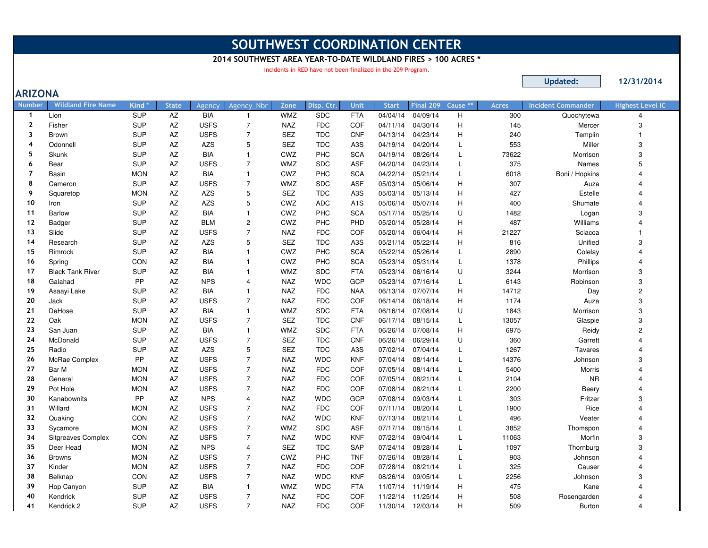## SOUTHWEST COORDINATION CENTER

## 2014 SOUTHWEST AREA YEAR-TO-DATE WILDLAND FIRES > 100 ACRES \*

Incidents in RED have not been finalized in the 209 Program.

Updated: 12/31/2014

## ARIZONA

| <b>Number</b>  | <b>Wildland Fire Name</b> | Kind <sup>*</sup> | <b>State</b> | Agency      | Agency_Nbr     | Zone       | Disp. Ctr. | <b>Unit</b>      | <b>Start</b> | Final 209 | Cause **     | <b>Acres</b> | <b>Incident Commander</b> | <b>Highest Level IC</b>   |
|----------------|---------------------------|-------------------|--------------|-------------|----------------|------------|------------|------------------|--------------|-----------|--------------|--------------|---------------------------|---------------------------|
| $\mathbf{1}$   | Lion                      | <b>SUP</b>        | AZ           | <b>BIA</b>  | $\mathbf{1}$   | <b>WMZ</b> | <b>SDC</b> | <b>FTA</b>       | 04/04/14     | 04/09/14  | H            | 300          | Quochytewa                | $\overline{4}$            |
| $\mathbf{2}$   | Fisher                    | <b>SUP</b>        | AZ           | <b>USFS</b> | $\overline{7}$ | <b>NAZ</b> | <b>FDC</b> | COF              | 04/11/14     | 04/30/14  | $\mathsf{H}$ | 145          | Mercer                    | 3                         |
| 3              | Brown                     | <b>SUP</b>        | AZ           | <b>USFS</b> | $\overline{7}$ | SEZ        | <b>TDC</b> | <b>CNF</b>       | 04/13/14     | 04/23/14  | $\mathsf{H}$ | 240          | Templin                   | $\overline{1}$            |
| $\overline{4}$ | Odonnell                  | <b>SUP</b>        | AZ           | <b>AZS</b>  | 5              | <b>SEZ</b> | <b>TDC</b> | A <sub>3</sub> S | 04/19/14     | 04/20/14  | L            | 553          | Miller                    | 3                         |
| 5              | Skunk                     | <b>SUP</b>        | AZ           | <b>BIA</b>  | $\mathbf{1}$   | CWZ        | PHC        | <b>SCA</b>       | 04/19/14     | 08/26/14  | L            | 73622        | Morrison                  | 3                         |
| 6              | Bear                      | <b>SUP</b>        | AZ           | <b>USFS</b> | $\overline{7}$ | <b>WMZ</b> | SDC        | <b>ASF</b>       | 04/20/14     | 04/23/14  | L            | 375          | Names                     | 5                         |
| $\overline{7}$ | Basin                     | <b>MON</b>        | AZ           | <b>BIA</b>  | $\mathbf{1}$   | CWZ        | PHC        | <b>SCA</b>       | 04/22/14     | 05/21/14  | L            | 6018         | Boni / Hopkins            | $\overline{4}$            |
| 8              | Cameron                   | <b>SUP</b>        | AZ           | <b>USFS</b> | $\overline{7}$ | WMZ        | <b>SDC</b> | <b>ASF</b>       | 05/03/14     | 05/06/14  | H            | 307          | Auza                      | $\boldsymbol{\Delta}$     |
| 9              | Squaretop                 | <b>MON</b>        | AZ           | <b>AZS</b>  | 5              | <b>SEZ</b> | <b>TDC</b> | A <sub>3</sub> S | 05/03/14     | 05/13/14  | H            | 427          | Estelle                   | $\overline{4}$            |
| 10             | Iron                      | <b>SUP</b>        | AZ           | <b>AZS</b>  | 5              | CWZ        | <b>ADC</b> | A <sub>1</sub> S | 05/06/14     | 05/07/14  | H            | 400          | Shumate                   | $\overline{4}$            |
| 11             | <b>Barlow</b>             | <b>SUP</b>        | AZ           | <b>BIA</b>  | $\mathbf{1}$   | CWZ        | PHC        | <b>SCA</b>       | 05/17/14     | 05/25/14  | U            | 1482         | Logan                     | 3                         |
| 12             | Badger                    | <b>SUP</b>        | AZ           | <b>BLM</b>  | 2              | CWZ        | PHC        | PHD              | 05/20/14     | 05/28/14  | Н            | 487          | Williams                  | $\overline{4}$            |
| 13             | Slide                     | <b>SUP</b>        | AZ           | <b>USFS</b> | $\overline{7}$ | <b>NAZ</b> | <b>FDC</b> | <b>COF</b>       | 05/20/14     | 06/04/14  | H            | 21227        | Sciacca                   | $\overline{1}$            |
| 14             | Research                  | <b>SUP</b>        | AZ           | <b>AZS</b>  | 5              | <b>SEZ</b> | <b>TDC</b> | A <sub>3</sub> S | 05/21/14     | 05/22/14  | H            | 816          | Unified                   | 3                         |
| 15             | Rimrock                   | <b>SUP</b>        | AZ           | <b>BIA</b>  | $\mathbf{1}$   | CWZ        | PHC        | <b>SCA</b>       | 05/22/14     | 05/26/14  | L            | 2890         | Colelay                   | $\overline{4}$            |
| 16             | Spring                    | CON               | AZ           | <b>BIA</b>  | $\mathbf{1}$   | CWZ        | PHC        | <b>SCA</b>       | 05/23/14     | 05/31/14  | L            | 1378         | Phillips                  | $\overline{4}$            |
| 17             | <b>Black Tank River</b>   | <b>SUP</b>        | AZ           | <b>BIA</b>  | $\mathbf{1}$   | WMZ        | <b>SDC</b> | <b>FTA</b>       | 05/23/14     | 06/16/14  | U            | 3244         | Morrison                  | 3                         |
| 18             | Galahad                   | PP                | AZ           | <b>NPS</b>  | 4              | <b>NAZ</b> | <b>WDC</b> | GCP              | 05/23/14     | 07/16/14  | L            | 6143         | Robinson                  | $\ensuremath{\mathsf{3}}$ |
| 19             | Asaayi Lake               | <b>SUP</b>        | AZ           | <b>BIA</b>  | $\mathbf{1}$   | <b>NAZ</b> | <b>FDC</b> | <b>NAA</b>       | 06/13/14     | 07/07/14  | Н            | 14712        | Day                       | $\overline{2}$            |
| 20             | Jack                      | <b>SUP</b>        | AZ           | <b>USFS</b> | $\overline{7}$ | <b>NAZ</b> | <b>FDC</b> | COF              | 06/14/14     | 06/18/14  | H            | 1174         | Auza                      | 3                         |
| 21             | DeHose                    | <b>SUP</b>        | AZ           | <b>BIA</b>  | $\mathbf{1}$   | WMZ        | <b>SDC</b> | <b>FTA</b>       | 06/16/14     | 07/08/14  | U            | 1843         | Morrison                  | 3                         |
| 22             | Oak                       | <b>MON</b>        | AZ           | <b>USFS</b> | $\overline{7}$ | <b>SEZ</b> | <b>TDC</b> | <b>CNF</b>       | 06/17/14     | 08/15/14  | L            | 13057        | Glaspie                   | 3                         |
| 23             | San Juan                  | <b>SUP</b>        | AZ           | <b>BIA</b>  | $\mathbf{1}$   | <b>WMZ</b> | <b>SDC</b> | <b>FTA</b>       | 06/26/14     | 07/08/14  | H            | 6975         | Reidy                     | $\overline{2}$            |
| 24             | McDonald                  | <b>SUP</b>        | AZ           | <b>USFS</b> | $\overline{7}$ | SEZ        | <b>TDC</b> | <b>CNF</b>       | 06/26/14     | 06/29/14  | U            | 360          | Garrett                   | $\overline{4}$            |
| 25             | Radio                     | <b>SUP</b>        | AZ           | <b>AZS</b>  | 5              | SEZ        | <b>TDC</b> | A <sub>3</sub> S | 07/02/14     | 07/04/14  | L            | 1267         | Tavares                   | $\overline{4}$            |
| 26             | McRae Complex             | PP                | AZ           | <b>USFS</b> | $\overline{7}$ | <b>NAZ</b> | <b>WDC</b> | <b>KNF</b>       | 07/04/14     | 08/14/14  | L            | 14376        | Johnson                   | 3                         |
| 27             | Bar M                     | <b>MON</b>        | AZ           | <b>USFS</b> | $\overline{7}$ | <b>NAZ</b> | <b>FDC</b> | COF              | 07/05/14     | 08/14/14  | L            | 5400         | Morris                    | $\overline{4}$            |
| 28             | General                   | <b>MON</b>        | AZ           | <b>USFS</b> | $\overline{7}$ | <b>NAZ</b> | <b>FDC</b> | <b>COF</b>       | 07/05/14     | 08/21/14  | L            | 2104         | <b>NR</b>                 | $\overline{4}$            |
| 29             | Pot Hole                  | <b>MON</b>        | AZ           | <b>USFS</b> | $\overline{7}$ | <b>NAZ</b> | <b>FDC</b> | COF              | 07/08/14     | 08/21/14  | L            | 2200         | Beery                     | $\overline{4}$            |
| 30             | Kanabownits               | PP                | AZ           | <b>NPS</b>  | $\overline{4}$ | <b>NAZ</b> | <b>WDC</b> | GCP              | 07/08/14     | 09/03/14  | L            | 303          | Fritzer                   | 3                         |
| 31             | Willard                   | <b>MON</b>        | AZ           | <b>USFS</b> | $\overline{7}$ | <b>NAZ</b> | <b>FDC</b> | COF              | 07/11/14     | 08/20/14  | L            | 1900         | Rice                      | $\overline{4}$            |
| 32             | Quaking                   | CON               | AZ           | <b>USFS</b> | $\overline{7}$ | <b>NAZ</b> | <b>WDC</b> | <b>KNF</b>       | 07/13/14     | 08/21/14  | L            | 496          | Veater                    | $\Delta$                  |
| 33             | Sycamore                  | <b>MON</b>        | AZ           | <b>USFS</b> | $\overline{7}$ | <b>WMZ</b> | SDC        | <b>ASF</b>       | 07/17/14     | 08/15/14  | L            | 3852         | Thomspon                  | $\overline{4}$            |
| 34             | <b>Sitgreaves Complex</b> | CON               | AZ           | <b>USFS</b> | $\overline{7}$ | <b>NAZ</b> | <b>WDC</b> | <b>KNF</b>       | 07/22/14     | 09/04/14  | L            | 11063        | Morfin                    | 3                         |
| 35             | Deer Head                 | <b>MON</b>        | AZ           | <b>NPS</b>  | 4              | SEZ        | <b>TDC</b> | SAP              | 07/24/14     | 08/28/14  | L            | 1097         | Thornburg                 | 3                         |
| 36             | <b>Browns</b>             | <b>MON</b>        | AZ           | <b>USFS</b> | $\overline{7}$ | CWZ        | PHC        | <b>TNF</b>       | 07/26/14     | 08/28/14  | L            | 903          | Johnson                   | $\overline{4}$            |
| 37             | Kinder                    | <b>MON</b>        | AZ           | <b>USFS</b> | $\overline{7}$ | <b>NAZ</b> | <b>FDC</b> | <b>COF</b>       | 07/28/14     | 08/21/14  | L            | 325          | Causer                    | $\overline{4}$            |
| 38             | Belknap                   | CON               | AZ           | <b>USFS</b> | $\overline{7}$ | <b>NAZ</b> | <b>WDC</b> | <b>KNF</b>       | 08/26/14     | 09/05/14  | L            | 2256         | Johnson                   | 3                         |
| 39             | Hop Canyon                | <b>SUP</b>        | AZ           | <b>BIA</b>  | $\mathbf{1}$   | <b>WMZ</b> | <b>WDC</b> | <b>FTA</b>       | 11/07/14     | 11/19/14  | Н            | 475          | Kane                      | $\overline{4}$            |
| 40             | Kendrick                  | <b>SUP</b>        | AZ           | <b>USFS</b> | $\overline{7}$ | <b>NAZ</b> | <b>FDC</b> | COF              | 11/22/14     | 11/25/14  | H            | 508          | Rosengarden               | $\overline{4}$            |
| 41             | Kendrick <sub>2</sub>     | <b>SUP</b>        | <b>AZ</b>    | <b>USFS</b> | $\overline{7}$ | <b>NAZ</b> | <b>FDC</b> | COF              | 11/30/14     | 12/03/14  | H            | 509          | Burton                    | $\overline{4}$            |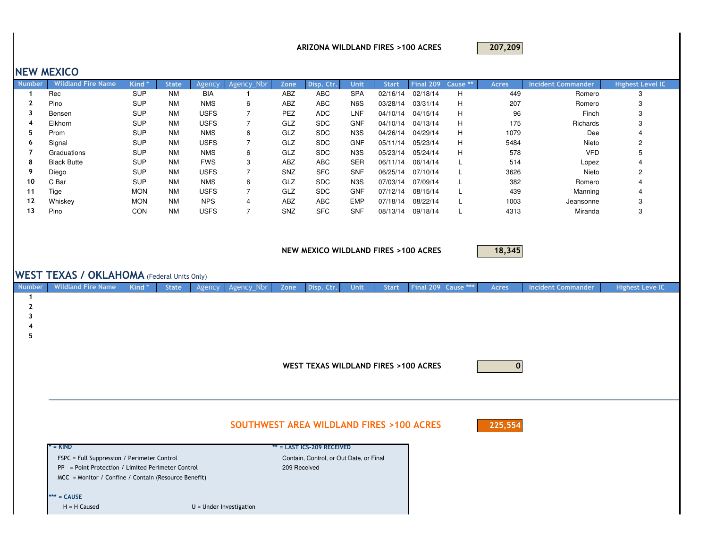ARIZONA WILDLAND FIRES >100 ACRES

Number

NEW MEXICO

1

Wildland Fire Name

**Kind \*** State<br>SUP NM

Agency<br>BIA

207,209

3

3

3

 $\overline{4}$ 

 $\overline{2}$ 

 $\overline{4}$ 

 $\overline{2}$ 

 $\overline{4}$ 

 $\overline{4}$ 

3

3

Agency\_Nbr Zone Disp. Ctr. Unit Start Final 209 Cause \*\* Acres Incident Commander Highest Level IC

## Rec SUP NM BIA <sup>1</sup> ABZ ABC SPA 02/16/14 02/18/14 <sup>H</sup> <sup>449</sup> Romero <sup>3</sup>2 Pino SUP NM NMS <sup>6</sup> ABZ ABC N6S 03/28/14 03/31/14 <sup>H</sup> <sup>207</sup> Romero <sup>3</sup>33 Bensen SUP NM USFS 7 PEZ ADC LNF 04/10/14 04/15/14 H 96 Finch 3 44 Elkhorn SUP NM USFS 7 GLZ SDC GNF 04/10/14 04/13/14 H 175 Richards 3 5 Prom SUP NM NMS <sup>6</sup> GLZ SDC N3S 04/26/14 04/29/14 <sup>H</sup> <sup>1079</sup> Dee <sup>4</sup>6 Signal SUP NM USFS <sup>7</sup> GLZ SDC GNF 05/11/14 05/23/14 <sup>H</sup> <sup>5484</sup> Nieto0 2 7**7** Graduations SUP NM NMS 6 GLZ SDC N3S 05/23/14 05/24/14 H 578 VFD 5 8 Black Butte SUP NM FWS <sup>3</sup> ABZ ABC SER 06/11/14 06/14/14 <sup>L</sup> <sup>514</sup> Lopez <sup>4</sup>9 Diego SUP NM USFS <sup>7</sup> SNZ SFC SNF 06/25/14 07/10/14 <sup>L</sup> <sup>3626</sup> Nieto <sup>2</sup>10 C Bar SUP NM NMS <sup>6</sup> GLZ SDC N3S 07/03/14 07/09/14 <sup>L</sup> <sup>382</sup> Romero <sup>4</sup>11 Tige MON NM USFS <sup>7</sup> GLZ SDC GNF 07/12/14 08/15/14 <sup>L</sup> <sup>439</sup> Manning <sup>4</sup>12 Whiskey MON NM NPS <sup>4</sup> ABZ ABC EMP 07/18/14 08/22/14 <sup>L</sup> <sup>1003</sup> Jeansonne <sup>3</sup>13 Pino CON NM USFS <sup>7</sup> SNZ SFC SNF 08/13/14 09/18/14 <sup>L</sup> <sup>4313</sup> Mirandaa 3 18,345Number Wildland Fire Name **Kind \*** State Agency Agency\_Nbr Zone Disp. Ctr. Unit Start Final 209 Cause \*\*\* Acres Incident Commander Highest Leve IC1 2 3 4 50225,554= KIND FSPC = Full Suppression / Perimeter Control PP = Point Protection / Limited Perimeter Control MCC = Monitor / Confine / Contain (Resource Benefit) $*** = CAUSE$  $H = H$  Caused  $U =$  Under Investigation \*\* = LAST ICS-209 RECEIVED Contain, Control, or Out Date, or Final 209 ReceivedWEST TEXAS WILDLAND FIRES >100 ACRESSOUTHWEST AREA WILDLAND FIRES >100 ACRESNEW MEXICO WILDLAND FIRES >100 ACRESWEST TEXAS / OKLAHOMA (Federal Units Only)